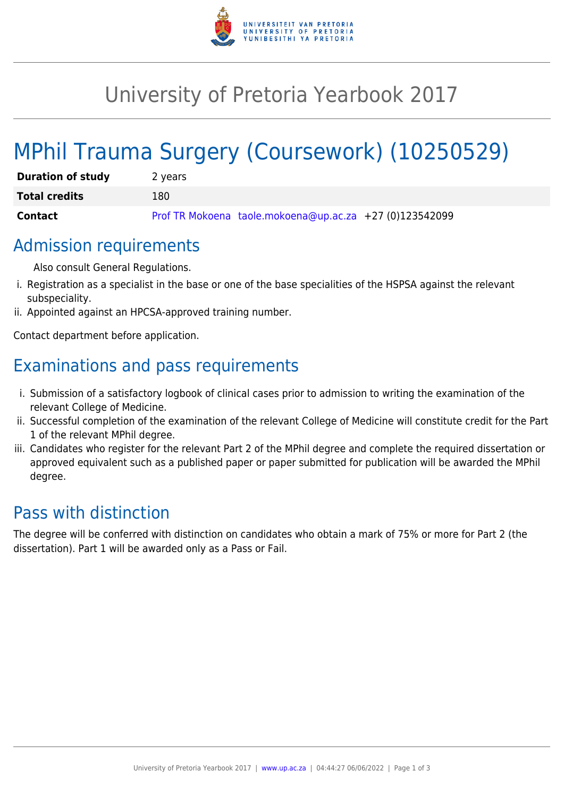

## University of Pretoria Yearbook 2017

# MPhil Trauma Surgery (Coursework) (10250529)

| <b>Duration of study</b> | 2 years                                                 |
|--------------------------|---------------------------------------------------------|
| <b>Total credits</b>     | 180                                                     |
| Contact                  | Prof TR Mokoena taole.mokoena@up.ac.za +27 (0)123542099 |

#### Admission requirements

Also consult General Regulations.

- i. Registration as a specialist in the base or one of the base specialities of the HSPSA against the relevant subspeciality.
- ii. Appointed against an HPCSA-approved training number.

Contact department before application.

## Examinations and pass requirements

- i. Submission of a satisfactory logbook of clinical cases prior to admission to writing the examination of the relevant College of Medicine.
- ii. Successful completion of the examination of the relevant College of Medicine will constitute credit for the Part 1 of the relevant MPhil degree.
- iii. Candidates who register for the relevant Part 2 of the MPhil degree and complete the required dissertation or approved equivalent such as a published paper or paper submitted for publication will be awarded the MPhil degree.

### Pass with distinction

The degree will be conferred with distinction on candidates who obtain a mark of 75% or more for Part 2 (the dissertation). Part 1 will be awarded only as a Pass or Fail.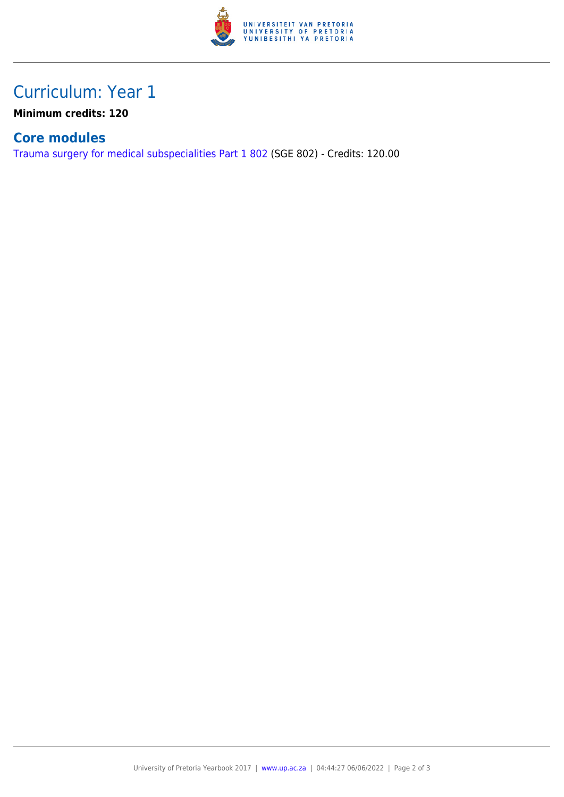

### Curriculum: Year 1

**Minimum credits: 120**

#### **Core modules**

[Trauma surgery for medical subspecialities Part 1 802](https://www.up.ac.za/yearbooks/2017/modules/view/SGE 802) (SGE 802) - Credits: 120.00